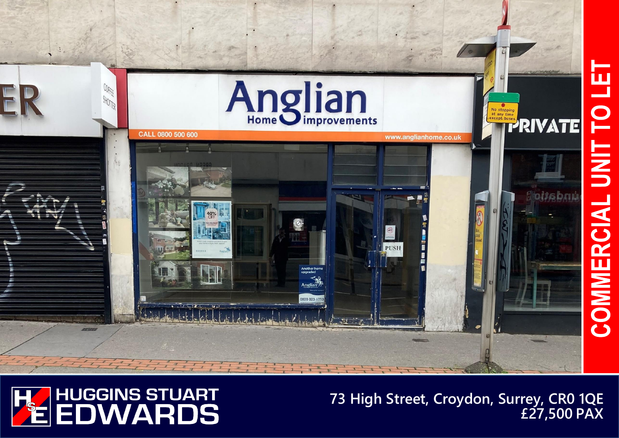

## **HUGGINS STUART<br>EDWARDS**  $\frac{1}{2}$

## **73 High Street, Croydon, Surrey, CR0 1QE £27,500 PAX**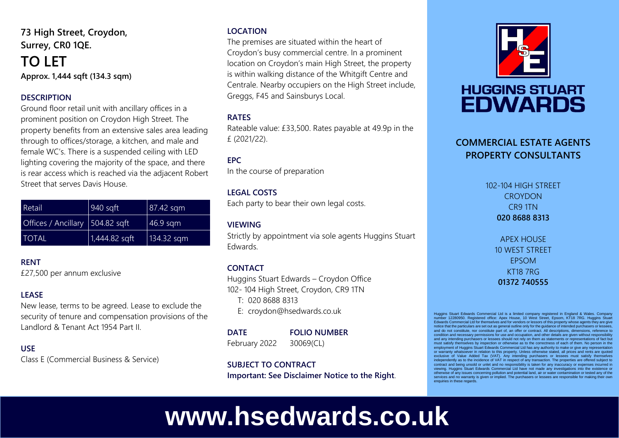**73 High Street, Croydon, Surrey, CR0 1QE.**

### **TO LET Approx. 1,444 sqft (134.3 sqm)**

#### **DESCRIPTION**

Ground floor retail unit with ancillary offices in a prominent position on Croydon High Street. The property benefits from an extensive sales area leading through to offices/storage, a kitchen, and male and female WC's. There is a suspended ceiling with LED lighting covering the majority of the space, and there is rear access which is reached via the adjacent Robert Street that serves Davis House.

| Retail                          | $940$ sqft      | $ 87.42$ sqm |
|---------------------------------|-----------------|--------------|
| Offices / Ancillary 504.82 sqft |                 | $46.9$ sqm   |
| <b>TOTAL</b>                    | $1,444.82$ sqft | 134.32 sqm   |

#### **RENT**

£27,500 per annum exclusive

#### **LEASE**

New lease, terms to be agreed. Lease to exclude the security of tenure and compensation provisions of the Landlord & Tenant Act 1954 Part II.

#### **USE**

Class E (Commercial Business & Service)

#### **LOCATION**

The premises are situated within the heart of Croydon's busy commercial centre. In a prominent location on Croydon's main High Street, the property is within walking distance of the Whitgift Centre and Centrale. Nearby occupiers on the High Street include, Greggs, F45 and Sainsburys Local.

#### **RATES**

Rateable value: £33,500. Rates payable at 49.9p in the £ (2021/22).

#### **EPC**

In the course of preparation

#### **LEGAL COSTS**

Each party to bear their own legal costs.

#### **VIEWING**

Strictly by appointment via sole agents Huggins Stuart Edwards.

#### **CONTACT**

Huggins Stuart Edwards – Croydon Office 102- 104 High Street, Croydon, CR9 1TN

T: 020 8688 8313

E: croydon@hsedwards.co.uk

#### **DATE FOLIO NUMBER**

February 2022 30069(CL)

#### **SUBJECT TO CONTRACT**

**Important: See Disclaimer Notice to the Right**.



## **HUGGINS STUART EDWARDS**

#### **COMMERCIAL ESTATE AGENTS PROPERTY CONSULTANTS**

102-104 HIGH STREET **CROYDON** CR9 1TN **020 8688 8313**

> APEX HOUSE 10 WEST STREET EPSOM KT18 7RG **01372 740555**

Huggins Stuart Edwards Commercial Ltd is a limited company registered in England & Wales. Compa number 12280950. Registered office: Apex House, 10 West Street, Epsom, KT18 7RG. Huggins Stuart Edwards Commercial Ltd for themselves and for vendors or lessors of this property whose agents they are give notice that the particulars are set out as general outline only for the guidance of intended purchasers or lessees, and do not constitute, nor constitute part of, an offer or contract. All descriptions, dimensions, reference to condition and necessary permissions for use and occupation, and other details are given without responsibility and any intending purchasers or lessees should not rely on them as statements or representations of fact but must satisfy themselves by inspection or otherwise as to the correctness of each of them. No person in the employment of Huggins Stuart Edwards Commercial Ltd has any authority to make or give any representation or warranty whatsoever in relation to this property. Unless otherwise stated, all prices and rents are quoted exclusive of Value Added Tax (VAT). Any intending purchasers or lessees must satisfy themselves independently as to the incidence of VAT in respect of any transaction. The properties are offered subject to<br>contract and being unsold or unlet and no responsibility is taken for any inaccuracy or expenses incurred in<br>vie otherwise of any issues concerning pollution and potential land, air or water contamination or tested any of the services and no warranty is given or implied. The purchasers or lessees are responsible for making their own enquiries in these regards.

# **www.hsedwards.co.uk**